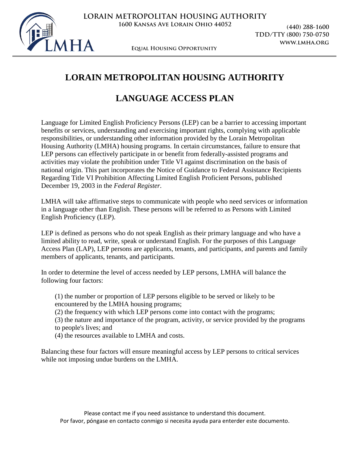

**(440) 288-1600 TDD/TTY (800) 750-0750 www.lmha.org**

**Equal Housing Opportunity**

# **LORAIN METROPOLITAN HOUSING AUTHORITY**

## **LANGUAGE ACCESS PLAN**

Language for Limited English Proficiency Persons (LEP) can be a barrier to accessing important benefits or services, understanding and exercising important rights, complying with applicable responsibilities, or understanding other information provided by the Lorain Metropolitan Housing Authority (LMHA) housing programs. In certain circumstances, failure to ensure that LEP persons can effectively participate in or benefit from federally-assisted programs and activities may violate the prohibition under Title VI against discrimination on the basis of national origin. This part incorporates the Notice of Guidance to Federal Assistance Recipients Regarding Title VI Prohibition Affecting Limited English Proficient Persons, published December 19, 2003 in the *Federal Register.*

LMHA will take affirmative steps to communicate with people who need services or information in a language other than English. These persons will be referred to as Persons with Limited English Proficiency (LEP).

LEP is defined as persons who do not speak English as their primary language and who have a limited ability to read, write, speak or understand English. For the purposes of this Language Access Plan (LAP), LEP persons are applicants, tenants, and participants, and parents and family members of applicants, tenants, and participants.

In order to determine the level of access needed by LEP persons, LMHA will balance the following four factors:

- (1) the number or proportion of LEP persons eligible to be served or likely to be encountered by the LMHA housing programs;
- (2) the frequency with which LEP persons come into contact with the programs;
- (3) the nature and importance of the program, activity, or service provided by the programs to people's lives; and
- (4) the resources available to LMHA and costs.

Balancing these four factors will ensure meaningful access by LEP persons to critical services while not imposing undue burdens on the LMHA.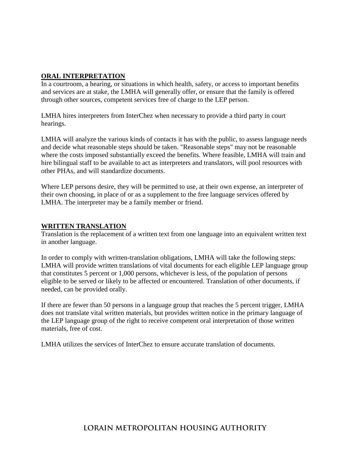#### **ORAL INTERPRETATION**

In a courtroom, a hearing, or situations in which health, safety, or access to important benefits and services are at stake, the LMHA will generally offer, or ensure that the family is offered through other sources, competent services free of charge to the LEP person.

LMHA hires interpreters from InterChez when necessary to provide a third party in court hearings.

LMHA will analyze the various kinds of contacts it has with the public, to assess language needs and decide what reasonable steps should be taken. "Reasonable steps" may not be reasonable where the costs imposed substantially exceed the benefits. Where feasible, LMHA will train and hire bilingual staff to be available to act as interpreters and translators, will pool resources with other PHAs, and will standardize documents.

Where LEP persons desire, they will be permitted to use, at their own expense, an interpreter of their own choosing, in place of or as a supplement to the free language services offered by LMHA. The interpreter may be a family member or friend.

#### **WRITTEN TRANSLATION**

Translation is the replacement of a written text from one language into an equivalent written text in another language.

In order to comply with written-translation obligations, LMHA will take the following steps: LMHA will provide written translations of vital documents for each eligible LEP language group that constitutes 5 percent or 1,000 persons, whichever is less, of the population of persons eligible to be served or likely to be affected or encountered. Translation of other documents, if needed, can be provided orally.

If there are fewer than 50 persons in a language group that reaches the 5 percent trigger, LMHA does not translate vital written materials, but provides written notice in the primary language of the LEP language group of the right to receive competent oral interpretation of those written materials, free of cost.

LMHA utilizes the services of InterChez to ensure accurate translation of documents.

### **LORAIN METROPOLITAN HOUSING AUTHORITY**